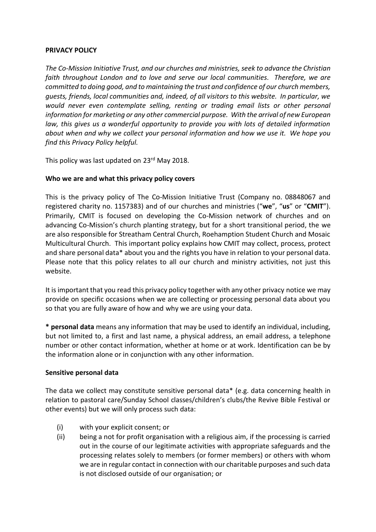### **PRIVACY POLICY**

*The Co-Mission Initiative Trust, and our churches and ministries, seek to advance the Christian faith throughout London and to love and serve our local communities. Therefore, we are committed to doing good, and to maintaining the trust and confidence of our church members, guests, friends, local communities and, indeed, of all visitors to this website. In particular, we would never even contemplate selling, renting or trading email lists or other personal information for marketing or any other commercial purpose. With the arrival of new European*  law, this gives us a wonderful opportunity to provide you with lots of detailed information *about when and why we collect your personal information and how we use it. We hope you find this Privacy Policy helpful.*

This policy was last updated on 23<sup>rd</sup> May 2018.

### **Who we are and what this privacy policy covers**

This is the privacy policy of The Co-Mission Initiative Trust (Company no. 08848067 and registered charity no. 1157383) and of our churches and ministries ("**we**", "**us**" or "**CMIT**"). Primarily, CMIT is focused on developing the Co-Mission network of churches and on advancing Co-Mission's church planting strategy, but for a short transitional period, the we are also responsible for Streatham Central Church, Roehamption Student Church and Mosaic Multicultural Church. This important policy explains how CMIT may collect, process, protect and share personal data\* about you and the rights you have in relation to your personal data. Please note that this policy relates to all our church and ministry activities, not just this website.

It is important that you read this privacy policy together with any other privacy notice we may provide on specific occasions when we are collecting or processing personal data about you so that you are fully aware of how and why we are using your data.

**\* personal data** means any information that may be used to identify an individual, including, but not limited to, a first and last name, a physical address, an email address, a telephone number or other contact information, whether at home or at work. Identification can be by the information alone or in conjunction with any other information.

### **Sensitive personal data**

The data we collect may constitute sensitive personal data\* (e.g. data concerning health in relation to pastoral care/Sunday School classes/children's clubs/the Revive Bible Festival or other events) but we will only process such data:

- (i) with your explicit consent; or
- (ii) being a not for profit organisation with a religious aim, if the processing is carried out in the course of our legitimate activities with appropriate safeguards and the processing relates solely to members (or former members) or others with whom we are in regular contact in connection with our charitable purposes and such data is not disclosed outside of our organisation; or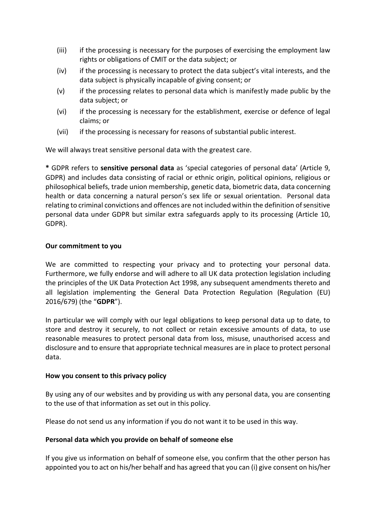- (iii) if the processing is necessary for the purposes of exercising the employment law rights or obligations of CMIT or the data subject; or
- (iv) if the processing is necessary to protect the data subject's vital interests, and the data subject is physically incapable of giving consent; or
- (v) if the processing relates to personal data which is manifestly made public by the data subject; or
- (vi) if the processing is necessary for the establishment, exercise or defence of legal claims; or
- (vii) if the processing is necessary for reasons of substantial public interest.

We will always treat sensitive personal data with the greatest care.

**\*** GDPR refers to **sensitive personal data** as 'special categories of personal data' (Article 9, GDPR) and includes data consisting of racial or ethnic origin, political opinions, religious or philosophical beliefs, trade union membership, genetic data, biometric data, data concerning health or data concerning a natural person's sex life or sexual orientation. Personal data relating to criminal convictions and offences are not included within the definition of sensitive personal data under GDPR but similar extra safeguards apply to its processing (Article 10, GDPR).

### **Our commitment to you**

We are committed to respecting your privacy and to protecting your personal data. Furthermore, we fully endorse and will adhere to all UK data protection legislation including the principles of the UK Data Protection Act 1998, any subsequent amendments thereto and all legislation implementing the General Data Protection Regulation (Regulation (EU) 2016/679) (the "**GDPR**").

In particular we will comply with our legal obligations to keep personal data up to date, to store and destroy it securely, to not collect or retain excessive amounts of data, to use reasonable measures to protect personal data from loss, misuse, unauthorised access and disclosure and to ensure that appropriate technical measures are in place to protect personal [da](https://www.iea-coal.org/legal/#1517733688383-8200de64-2079)ta.

### **How you consent to this privacy policy**

By using any of our websites and by providing us with any personal data, you are consenting to the use of that information as set out in this policy.

Please do not send us any information if you do not want it to be used in this way[.](https://www.iea-coal.org/legal/#1517733690587-3787d6ef-12fd)

### **Personal data which you provide on behalf of someone else**

If you give us information on behalf of someone else, you confirm that the other person has appointed you to act on his/her behalf and has agreed that you can (i) give consent on his/her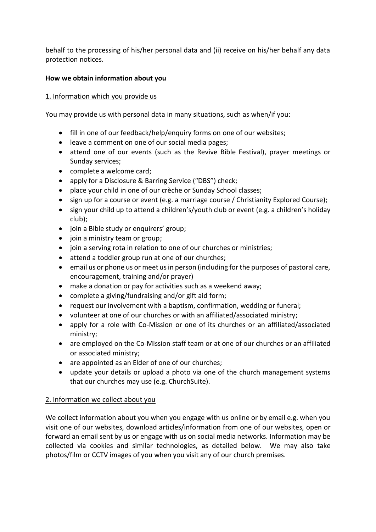behalf to the processing of his/her personal data and (ii) receive on his/her behalf any data protection notices.

### **How we obtain information about you**

### 1. Information which you provide us

You may provide us with personal data in many situations, such as when/if you:

- fill in one of our feedback/help/enquiry forms on one of our websites;
- leave a comment on one of our social media pages;
- attend one of our events (such as the Revive Bible Festival), prayer meetings or Sunday services;
- complete a welcome card;
- apply for a Disclosure & Barring Service ("DBS") check;
- place your child in one of our crèche or Sunday School classes;
- sign up for a course or event (e.g. a marriage course / Christianity Explored Course);
- sign your child up to attend a children's/youth club or event (e.g. a children's holiday club);
- join a Bible study or enquirers' group;
- join a ministry team or group;
- join a serving rota in relation to one of our churches or ministries;
- attend a toddler group run at one of our churches;
- email us or phone us or meet us in person (including for the purposes of pastoral care, encouragement, training and/or prayer)
- make a donation or pay for activities such as a weekend away;
- complete a giving/fundraising and/or gift aid form;
- request our involvement with a baptism, confirmation, wedding or funeral;
- volunteer at one of our churches or with an affiliated/associated ministry;
- apply for a role with Co-Mission or one of its churches or an affiliated/associated ministry;
- are employed on the Co-Mission staff team or at one of our churches or an affiliated or associated ministry;
- are appointed as an Elder of one of our churches;
- update your details or upload a photo via one of the church management systems that our churches may use (e.g. ChurchSuite).

# 2. Information we collect about you

We collect information about you when you engage with us online or by email e.g. when you visit one of our websites, download articles/information from one of our websites, open or forward an email sent by us or engage with us on social media networks. Information may be collected via cookies and similar technologies, as detailed below. We may also take photos/film or CCTV images of you when you visit any of our church premises.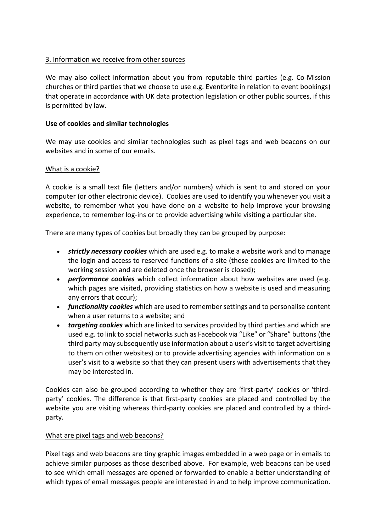# 3. Information we receive from other sources

We may also collect information about you from reputable third parties (e.g. Co-Mission churches or third parties that we choose to use e.g. Eventbrite in relation to event bookings) that operate in accordance with UK data protection legislation or other public sources, if this is permitted by law.

# **Use of cookies and similar technologies**

We may use cookies and similar technologies such as pixel tags and web beacons on our websites and in some of our emails.

# What is a cookie?

A cookie is a small text file (letters and/or numbers) which is sent to and stored on your computer (or other electronic device). Cookies are used to identify you whenever you visit a website, to remember what you have done on a website to help improve your browsing experience, to remember log-ins or to provide advertising while visiting a particular site.

There are many types of cookies but broadly they can be grouped by purpose:

- *strictly necessary cookies* which are used e.g. to make a website work and to manage the login and access to reserved functions of a site (these cookies are limited to the working session and are deleted once the browser is closed);
- *performance cookies* which collect information about how websites are used (e.g. which pages are visited, providing statistics on how a website is used and measuring any errors that occur);
- *functionality cookies* which are used to remember settings and to personalise content when a user returns to a website; and
- *targeting cookies* which are linked to services provided by third parties and which are used e.g. to link to social networks such as Facebook via "Like" or "Share" buttons (the third party may subsequently use information about a user's visit to target advertising to them on other websites) or to provide advertising agencies with information on a user's visit to a website so that they can present users with advertisements that they may be interested in.

Cookies can also be grouped according to whether they are 'first-party' cookies or 'thirdparty' cookies. The difference is that first-party cookies are placed and controlled by the website you are visiting whereas third-party cookies are placed and controlled by a thirdparty.

# What are pixel tags and web beacons?

Pixel tags and web beacons are tiny graphic images embedded in a web page or in emails to achieve similar purposes as those described above. For example, web beacons can be used to see which email messages are opened or forwarded to enable a better understanding of which types of email messages people are interested in and to help improve communication.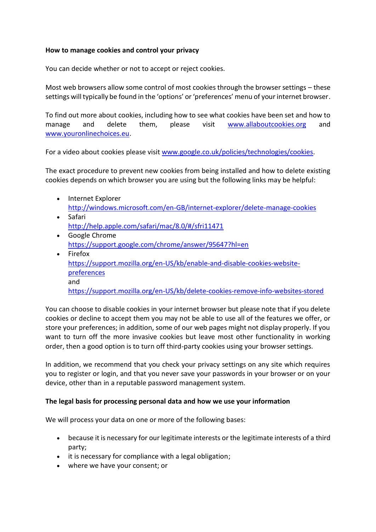### **How to manage cookies and control your privacy**

You can decide whether or not to accept or reject cookies.

Most web browsers allow some control of most cookies through the browser settings – these settings will typically be found in the 'options' or 'preferences' menu of your internet browser.

To find out more about cookies, including how to see what cookies have been set and how to manage and delete them, please visit [www.allaboutcookies.org](http://www.allaboutcookies.org/) and [www.youronlinechoices.eu.](http://www.youronlinechoices.eu/)

For a video about cookies please visit [www.google.co.uk/policies/technologies/cookies.](http://www.google.co.uk/policies/technologies/cookies)

The exact procedure to prevent new cookies from being installed and how to delete existing cookies depends on which browser you are using but the following links may be helpful:

- Internet Explorer <http://windows.microsoft.com/en-GB/internet-explorer/delete-manage-cookies>
- Safari <http://help.apple.com/safari/mac/8.0/#/sfri11471>
- Google Chrome <https://support.google.com/chrome/answer/95647?hl=en>
- Firefox [https://support.mozilla.org/en-US/kb/enable-and-disable-cookies-website](https://support.mozilla.org/en-US/kb/enable-and-disable-cookies-website-preferences)[preferences](https://support.mozilla.org/en-US/kb/enable-and-disable-cookies-website-preferences) and <https://support.mozilla.org/en-US/kb/delete-cookies-remove-info-websites-stored>

You can choose to disable cookies in your internet browser but please note that if you delete cookies or decline to accept them you may not be able to use all of the features we offer, or store your preferences; in addition, some of our web pages might not display properly. If you want to turn off the more invasive cookies but leave most other functionality in working order, then a good option is to turn off third-party cookies using your browser settings.

In addition, we recommend that you check your privacy settings on any site which requires you to register or login, and that you never save your passwords in your browser or on your device, other than in a reputable password management system.

### **The legal basis for processing personal data and how we use your information**

We will process your data on one or more of the following bases:

- because it is necessary for our legitimate interests or the legitimate interests of a third party;
- it is necessary for compliance with a legal obligation;
- where we have your consent; or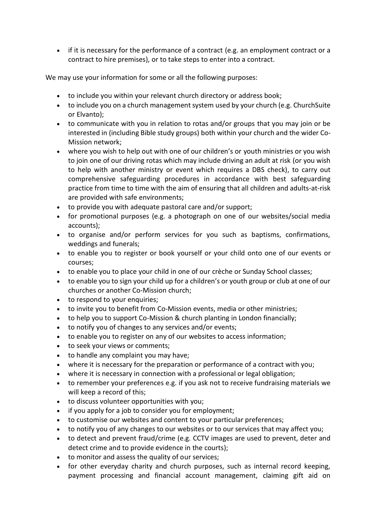• if it is necessary for the performance of a contract (e.g. an employment contract or a contract to hire premises), or to take steps to enter into a contract.

We may use your information for some or all the following purposes:

- to include you within your relevant church directory or address book;
- to include you on a church management system used by your church (e.g. ChurchSuite or Elvanto);
- to communicate with you in relation to rotas and/or groups that you may join or be interested in (including Bible study groups) both within your church and the wider Co-Mission network;
- where you wish to help out with one of our children's or youth ministries or you wish to join one of our driving rotas which may include driving an adult at risk (or you wish to help with another ministry or event which requires a DBS check), to carry out comprehensive safeguarding procedures in accordance with best safeguarding practice from time to time with the aim of ensuring that all children and adults-at-risk are provided with safe environments;
- to provide you with adequate pastoral care and/or support;
- for promotional purposes (e.g. a photograph on one of our websites/social media accounts);
- to organise and/or perform services for you such as baptisms, confirmations, weddings and funerals;
- to enable you to register or book yourself or your child onto one of our events or courses;
- to enable you to place your child in one of our crèche or Sunday School classes;
- to enable you to sign your child up for a children's or youth group or club at one of our churches or another Co-Mission church;
- to respond to your enquiries;
- to invite you to benefit from Co-Mission events, media or other ministries;
- to help you to support Co-Mission & church planting in London financially;
- to notify you of changes to any services and/or events;
- to enable you to register on any of our websites to access information;
- to seek your views or comments;
- to handle any complaint you may have;
- where it is necessary for the preparation or performance of a contract with you;
- where it is necessary in connection with a professional or legal obligation;
- to remember your preferences e.g. if you ask not to receive fundraising materials we will keep a record of this;
- to discuss volunteer opportunities with you;
- if you apply for a job to consider you for employment;
- to customise our websites and content to your particular preferences;
- to notify you of any changes to our websites or to our services that may affect you;
- to detect and prevent fraud/crime (e.g. CCTV images are used to prevent, deter and detect crime and to provide evidence in the courts);
- to monitor and assess the quality of our services;
- for other everyday charity and church purposes, such as internal record keeping, payment processing and financial account management, claiming gift aid on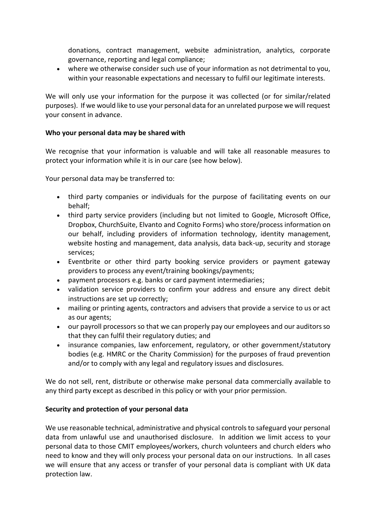donations, contract management, website administration, analytics, corporate governance, reporting and legal compliance;

• where we otherwise consider such use of your information as not detrimental to you, within your reasonable expectations and necessary to fulfil our legitimate interests.

We will only use your information for the purpose it was collected (or for similar/related purposes). If we would like to use your personal data for an unrelated purpose we will request your consent in advance.

### **Who your personal data may be shared with**

We recognise that your information is valuable and will take all reasonable measures to protect your information while it is in our care (see how below).

Your personal data may be transferred to:

- third party companies or individuals for the purpose of facilitating events on our behalf;
- third party service providers (including but not limited to Google, Microsoft Office, Dropbox, ChurchSuite, Elvanto and Cognito Forms) who store/process information on our behalf, including providers of information technology, identity management, website hosting and management, data analysis, data back-up, security and storage services;
- Eventbrite or other third party booking service providers or payment gateway providers to process any event/training bookings/payments;
- payment processors e.g. banks or card payment intermediaries;
- validation service providers to confirm your address and ensure any direct debit instructions are set up correctly;
- mailing or printing agents, contractors and advisers that provide a service to us or act as our agents;
- our payroll processors so that we can properly pay our employees and our auditors so that they can fulfil their regulatory duties; and
- insurance companies, law enforcement, regulatory, or other government/statutory bodies (e.g. HMRC or the Charity Commission) for the purposes of fraud prevention and/or to comply with any legal and regulatory issues and disclosures.

We do not sell, rent, distribute or otherwise make personal data commercially available to any third party except as described in this policy or with your prior permission.

# **Security and protection of your personal data**

We use reasonable technical, administrative and physical controls to safeguard your personal data from unlawful use and unauthorised disclosure. In addition we limit access to your personal data to those CMIT employees/workers, church volunteers and church elders who need to know and they will only process your personal data on our instructions. In all cases we will ensure that any access or transfer of your personal data is compliant with UK data protection law.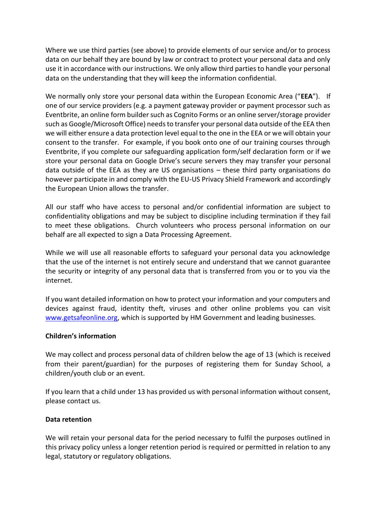Where we use third parties (see above) to provide elements of our service and/or to process data on our behalf they are bound by law or contract to protect your personal data and only use it in accordance with our instructions. We only allow third parties to handle your personal data on the understanding that they will keep the information confidential.

We normally only store your personal data within the European Economic Area ("**EEA**"). If one of our service providers (e.g. a payment gateway provider or payment processor such as Eventbrite, an online form builder such as Cognito Forms or an online server/storage provider such as Google/Microsoft Office) needs to transfer your personal data outside of the EEA then we will either ensure a data protection level equal to the one in the EEA or we will obtain your consent to the transfer. For example, if you book onto one of our training courses through Eventbrite, if you complete our safeguarding application form/self declaration form or if we store your personal data on Google Drive's secure servers they may transfer your personal data outside of the EEA as they are US organisations – these third party organisations do however participate in and comply with the EU-US Privacy Shield Framework and accordingly the European Union allows the transfer.

All our staff who have access to personal and/or confidential information are subject to confidentiality obligations and may be subject to discipline including termination if they fail to meet these obligations. Church volunteers who process personal information on our behalf are all expected to sign a Data Processing Agreement.

While we will use all reasonable efforts to safeguard your personal data you acknowledge that the use of the internet is not entirely secure and understand that we cannot guarantee the security or integrity of any personal data that is transferred from you or to you via the internet.

If you want detailed information on how to protect your information and your computers and devices against fraud, identity theft, viruses and other online problems you can visit [www.getsafeonline.org,](http://www.getsafeonline.org/) which is supported by HM Government and leading businesses.

### **Children's information**

We may collect and process personal data of children below the age of 13 (which is received from their parent/guardian) for the purposes of registering them for Sunday School, a children/youth club or an event.

If you learn that a child under 13 has provided us with personal information without consent, please contact us.

### **Data retention**

We will retain your personal data for the period necessary to fulfil the purposes outlined in this privacy policy unless a longer retention period is required or permitted in relation to any [leg](https://www.iea-coal.org/legal/#1517737585050-1cae1a0a-666f)al, statutory or regulatory obligations.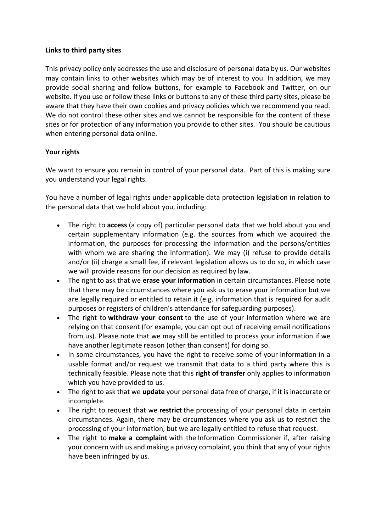### **Links to third party sites**

This privacy policy only addresses the use and disclosure of personal data by us. Our websites may contain links to other websites which may be of interest to you. In addition, we may provide social sharing and follow buttons, for example to Facebook and Twitter, on our website. If you use or follow these links or buttons to any of these third party sites, please be aware that they have their own cookies and privacy policies which we recommend you read. We do not control these other sites and we cannot be responsible for the content of these sites or for protection of any information you provide to other sites. You should be cautious when entering personal data online.

# **Your rights**

We want to ensure you remain in control of your personal data. Part of this is making sure you understand your legal rights.

You have a number of legal rights under applicable data protection legislation in relation to the personal data that we hold about you, including:

- The right to **access** (a copy of) particular personal data that we hold about you and certain supplementary information (e.g. the sources from which we acquired the information, the purposes for processing the information and the persons/entities with whom we are sharing the information). We may (i) refuse to provide details and/or (ii) charge a small fee, if relevant legislation allows us to do so, in which case we will provide reasons for our decision as required by law.
- The right to ask that we **erase your information** in certain circumstances. Please note that there may be circumstances where you ask us to erase your information but we are legally required or entitled to retain it (e.g. information that is required for audit purposes or registers of children's attendance for safeguarding purposes).
- The right to **withdraw your consent** to the use of your information where we are relying on that consent (for example, you can opt out of receiving email notifications from us). Please note that we may still be entitled to process your information if we have another legitimate reason (other than consent) for doing so.
- In some circumstances, you have the right to receive some of your information in a usable format and/or request we transmit that data to a third party where this is technically feasible. Please note that this **right of transfer** only applies to information which you have provided to us.
- The right to ask that we **update** your personal data free of charge, if it is inaccurate or incomplete.
- The right to request that we **restrict** the processing of your personal data in certain circumstances. Again, there may be circumstances where you ask us to restrict the processing of your information, but we are legally entitled to refuse that request.
- The right to **make a complaint** with the [Information Commissioner](https://ico.org.uk/concerns/) if, after raising your concern with us and making a privacy complaint, you think that any of your rights have been infringed by us.